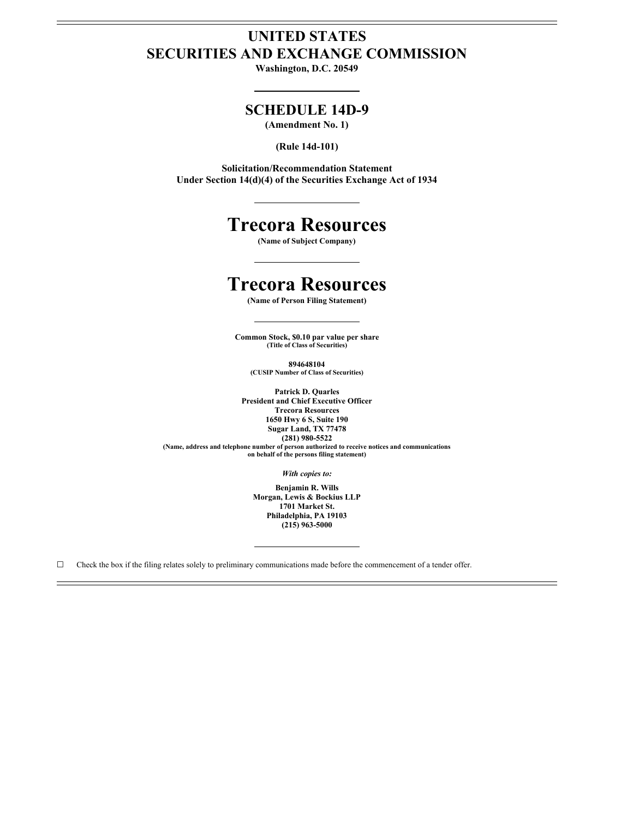### **UNITED STATES SECURITIES AND EXCHANGE COMMISSION**

**Washington, D.C. 20549**

### **SCHEDULE 14D-9**

**(Amendment No. 1)**

**(Rule 14d-101)**

**Solicitation/Recommendation Statement Under Section 14(d)(4) of the Securities Exchange Act of 1934**

# **Trecora Resources**

**(Name of Subject Company)**

## **Trecora Resources**

**(Name of Person Filing Statement)**

**Common Stock, \$0.10 par value per share (Title of Class of Securities)**

**894648104 (CUSIP Number of Class of Securities)**

**Patrick D. Quarles President and Chief Executive Officer Trecora Resources 1650 Hwy 6 S, Suite 190 Sugar Land, TX 77478 (281) 980-5522**

**(Name, address and telephone number of person authorized to receive notices and communications on behalf of the persons filing statement)**

*With copies to:*

**Benjamin R. Wills Morgan, Lewis & Bockius LLP 1701 Market St. Philadelphia, PA 19103 (215) 963-5000**

 $\Box$  Check the box if the filing relates solely to preliminary communications made before the commencement of a tender offer.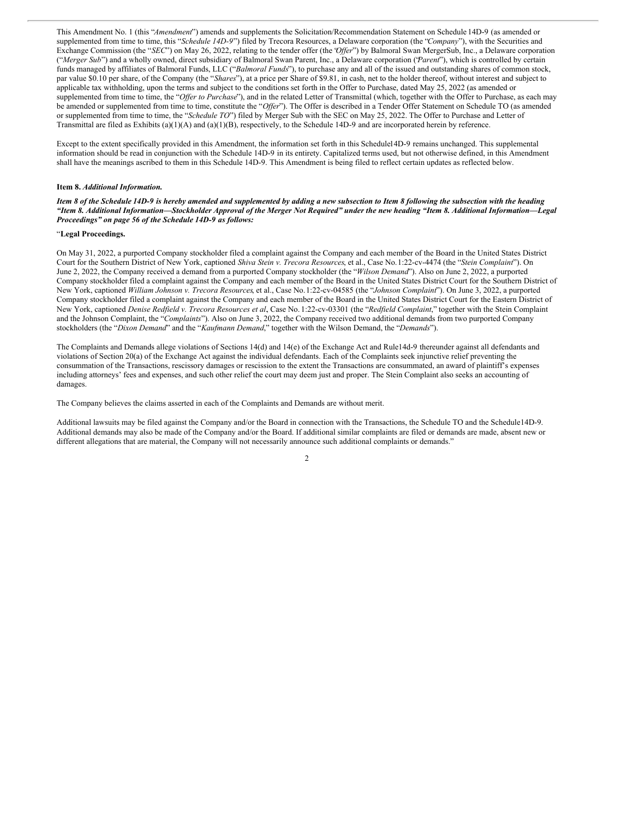This Amendment No. 1 (this "*Amendment*") amends and supplements the Solicitation/Recommendation Statement on Schedule 14D-9 (as amended or supplemented from time to time, this "*Schedule 14D-9*") filed by Trecora Resources, a Delaware corporation (the "*Company*"), with the Securities and Exchange Commission (the "*SEC*") on May 26, 2022, relating to the tender offer (the '*Offer*'') by Balmoral Swan MergerSub, Inc., a Delaware corporation ("*Merger Sub*") and a wholly owned, direct subsidiary of Balmoral Swan Parent, Inc., a Delaware corporation ('*Parent*'), which is controlled by certain funds managed by affiliates of Balmoral Funds, LLC ("*Balmoral Funds*"), to purchase any and all of the issued and outstanding shares of common stock, par value \$0.10 per share, of the Company (the "*Shares*"), at a price per Share of \$9.81, in cash, net to the holder thereof, without interest and subject to applicable tax withholding, upon the terms and subject to the conditions set forth in the Offer to Purchase, dated May 25, 2022 (as amended or supplemented from time to time, the "Offer to Purchase"), and in the related Letter of Transmittal (which, together with the Offer to Purchase, as each may be amended or supplemented from time to time, constitute the "*Offer*"). The Offer is described in a Tender Offer Statement on Schedule TO (as amended or supplemented from time to time, the "*Schedule TO*") filed by Merger Sub with the SEC on May 25, 2022. The Offer to Purchase and Letter of Transmittal are filed as Exhibits (a)(1)(A) and (a)(1)(B), respectively, to the Schedule 14D-9 and are incorporated herein by reference.

Except to the extent specifically provided in this Amendment, the information set forth in this Schedule14D-9 remains unchanged. This supplemental information should be read in conjunction with the Schedule 14D-9 in its entirety. Capitalized terms used, but not otherwise defined, in this Amendment shall have the meanings ascribed to them in this Schedule 14D-9. This Amendment is being filed to reflect certain updates as reflected below.

#### **Item 8.** *Additional Information.*

Item 8 of the Schedule 14D-9 is hereby amended and supplemented by adding a new subsection to Item 8 following the subsection with the heading "Item 8. Additional Information—Stockholder Approval of the Merger Not Required" under the new heading "Item 8. Additional Information—Legal *Proceedings" on page 56 of the Schedule 14D-9 as follows:*

#### "**Legal Proceedings.**

On May 31, 2022, a purported Company stockholder filed a complaint against the Company and each member of the Board in the United States District Court for the Southern District of New York, captioned *Shiva Stein v. Trecora Resources*, et al., Case No.1:22-cv-4474 (the "*Stein Complaint*"). On June 2, 2022, the Company received a demand from a purported Company stockholder (the "*Wilson Demand*"). Also on June 2, 2022, a purported Company stockholder filed a complaint against the Company and each member of the Board in the United States District Court for the Southern District of New York, captioned *William Johnson v. Trecora Resources*, et al., Case No.1:22-cv-04585 (the "*Johnson Complaint*"). On June 3, 2022, a purported Company stockholder filed a complaint against the Company and each member of the Board in the United States District Court for the Eastern District of New York, captioned *Denise Redfield v. Trecora Resources et al.*, Case No. 1:22-cv-03301 (the "*Redfield Complaint*," together with the Stein Complaint and the Johnson Complaint, the "*Complaints*"). Also on June 3, 2022, the Company received two additional demands from two purported Company stockholders (the "*Dixon Demand*" and the "*Kaufmann Demand*," together with the Wilson Demand, the "*Demands*").

The Complaints and Demands allege violations of Sections 14(d) and 14(e) of the Exchange Act and Rule14d-9 thereunder against all defendants and violations of Section 20(a) of the Exchange Act against the individual defendants. Each of the Complaints seek injunctive relief preventing the consummation of the Transactions, rescissory damages or rescission to the extent the Transactions are consummated, an award of plaintiff's expenses including attorneys' fees and expenses, and such other relief the court may deem just and proper. The Stein Complaint also seeks an accounting of damages.

The Company believes the claims asserted in each of the Complaints and Demands are without merit.

Additional lawsuits may be filed against the Company and/or the Board in connection with the Transactions, the Schedule TO and the Schedule14D-9. Additional demands may also be made of the Company and/or the Board. If additional similar complaints are filed or demands are made, absent new or different allegations that are material, the Company will not necessarily announce such additional complaints or demands."